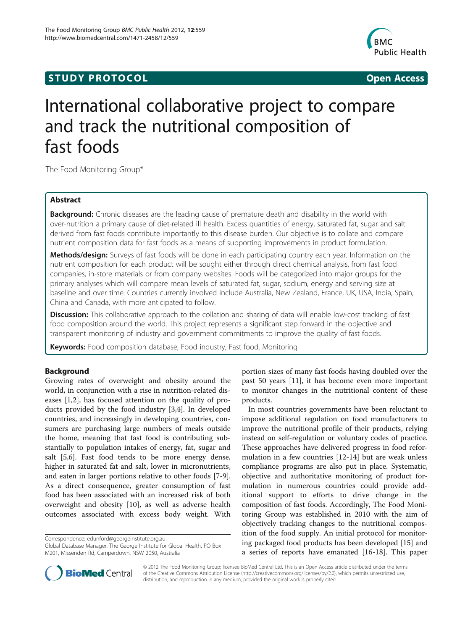## **STUDY PROTOCOL CONSUMING THE CONSUMING THE CONSUMING TEAM COPEN ACCESS**



# International collaborative project to compare and track the nutritional composition of fast foods

The Food Monitoring Group\*

## Abstract

Background: Chronic diseases are the leading cause of premature death and disability in the world with over-nutrition a primary cause of diet-related ill health. Excess quantities of energy, saturated fat, sugar and salt derived from fast foods contribute importantly to this disease burden. Our objective is to collate and compare nutrient composition data for fast foods as a means of supporting improvements in product formulation.

Methods/design: Surveys of fast foods will be done in each participating country each year. Information on the nutrient composition for each product will be sought either through direct chemical analysis, from fast food companies, in-store materials or from company websites. Foods will be categorized into major groups for the primary analyses which will compare mean levels of saturated fat, sugar, sodium, energy and serving size at baseline and over time. Countries currently involved include Australia, New Zealand, France, UK, USA, India, Spain, China and Canada, with more anticipated to follow.

Discussion: This collaborative approach to the collation and sharing of data will enable low-cost tracking of fast food composition around the world. This project represents a significant step forward in the objective and transparent monitoring of industry and government commitments to improve the quality of fast foods.

Keywords: Food composition database, Food industry, Fast food, Monitoring

## Background

Growing rates of overweight and obesity around the world, in conjunction with a rise in nutrition-related diseases [[1](#page-6-0),[2](#page-6-0)], has focused attention on the quality of products provided by the food industry [[3](#page-6-0),[4\]](#page-6-0). In developed countries, and increasingly in developing countries, consumers are purchasing large numbers of meals outside the home, meaning that fast food is contributing substantially to population intakes of energy, fat, sugar and salt [\[5](#page-6-0),[6](#page-6-0)]. Fast food tends to be more energy dense, higher in saturated fat and salt, lower in micronutrients, and eaten in larger portions relative to other foods [[7-9](#page-6-0)]. As a direct consequence, greater consumption of fast food has been associated with an increased risk of both overweight and obesity [[10\]](#page-6-0), as well as adverse health outcomes associated with excess body weight. With

Correspondence: edunford@georgeinstitute.org.au

portion sizes of many fast foods having doubled over the past 50 years [\[11\]](#page-6-0), it has become even more important to monitor changes in the nutritional content of these products.

In most countries governments have been reluctant to impose additional regulation on food manufacturers to improve the nutritional profile of their products, relying instead on self-regulation or voluntary codes of practice. These approaches have delivered progress in food reformulation in a few countries [\[12](#page-6-0)-[14\]](#page-6-0) but are weak unless compliance programs are also put in place. Systematic, objective and authoritative monitoring of product formulation in numerous countries could provide additional support to efforts to drive change in the composition of fast foods. Accordingly, The Food Monitoring Group was established in 2010 with the aim of objectively tracking changes to the nutritional composition of the food supply. An initial protocol for monitoring packaged food products has been developed [[15](#page-6-0)] and a series of reports have emanated [\[16](#page-6-0)-[18\]](#page-6-0). This paper



© 2012 The Food Monitoring Group; licensee BioMed Central Ltd. This is an Open Access article distributed under the terms of the Creative Commons Attribution License (<http://creativecommons.org/licenses/by/2.0>), which permits unrestricted use, distribution, and reproduction in any medium, provided the original work is properly cited.

Global Database Manager, The George Institute for Global Health, PO Box M201, Missenden Rd, Camperdown, NSW 2050, Australia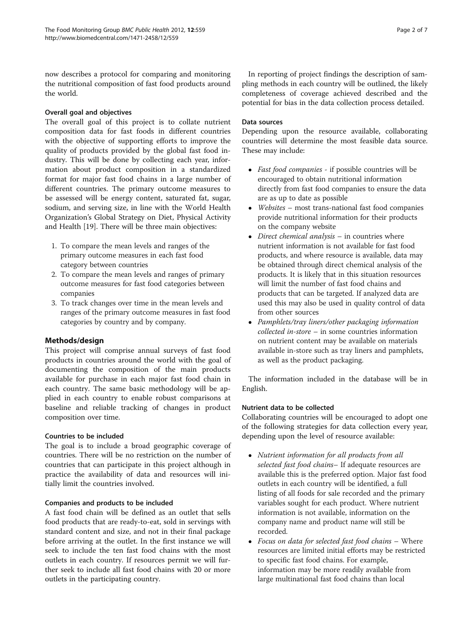now describes a protocol for comparing and monitoring the nutritional composition of fast food products around the world.

## Overall goal and objectives

The overall goal of this project is to collate nutrient composition data for fast foods in different countries with the objective of supporting efforts to improve the quality of products provided by the global fast food industry. This will be done by collecting each year, information about product composition in a standardized format for major fast food chains in a large number of different countries. The primary outcome measures to be assessed will be energy content, saturated fat, sugar, sodium, and serving size, in line with the World Health Organization's Global Strategy on Diet, Physical Activity and Health [\[19\]](#page-6-0). There will be three main objectives:

- 1. To compare the mean levels and ranges of the primary outcome measures in each fast food category between countries
- 2. To compare the mean levels and ranges of primary outcome measures for fast food categories between companies
- 3. To track changes over time in the mean levels and ranges of the primary outcome measures in fast food categories by country and by company.

## Methods/design

This project will comprise annual surveys of fast food products in countries around the world with the goal of documenting the composition of the main products available for purchase in each major fast food chain in each country. The same basic methodology will be applied in each country to enable robust comparisons at baseline and reliable tracking of changes in product composition over time.

## Countries to be included

The goal is to include a broad geographic coverage of countries. There will be no restriction on the number of countries that can participate in this project although in practice the availability of data and resources will initially limit the countries involved.

## Companies and products to be included

A fast food chain will be defined as an outlet that sells food products that are ready-to-eat, sold in servings with standard content and size, and not in their final package before arriving at the outlet. In the first instance we will seek to include the ten fast food chains with the most outlets in each country. If resources permit we will further seek to include all fast food chains with 20 or more outlets in the participating country.

In reporting of project findings the description of sampling methods in each country will be outlined, the likely completeness of coverage achieved described and the potential for bias in the data collection process detailed.

## Data sources

Depending upon the resource available, collaborating countries will determine the most feasible data source. These may include:

- *Fast food companies -* if possible countries will be encouraged to obtain nutritional information directly from fast food companies to ensure the data are as up to date as possible
- Websites most trans-national fast food companies provide nutritional information for their products on the company website
- *Direct chemical analysis* in countries where nutrient information is not available for fast food products, and where resource is available, data may be obtained through direct chemical analysis of the products. It is likely that in this situation resources will limit the number of fast food chains and products that can be targeted. If analyzed data are used this may also be used in quality control of data from other sources
- Pamphlets/tray liners/other packaging information collected in-store – in some countries information on nutrient content may be available on materials available in-store such as tray liners and pamphlets, as well as the product packaging.

The information included in the database will be in English.

## Nutrient data to be collected

Collaborating countries will be encouraged to adopt one of the following strategies for data collection every year, depending upon the level of resource available:

- Nutrient information for all products from all selected fast food chains- If adequate resources are available this is the preferred option. Major fast food outlets in each country will be identified, a full listing of all foods for sale recorded and the primary variables sought for each product. Where nutrient information is not available, information on the company name and product name will still be recorded.
- Focus on data for selected fast food chains Where resources are limited initial efforts may be restricted to specific fast food chains. For example, information may be more readily available from large multinational fast food chains than local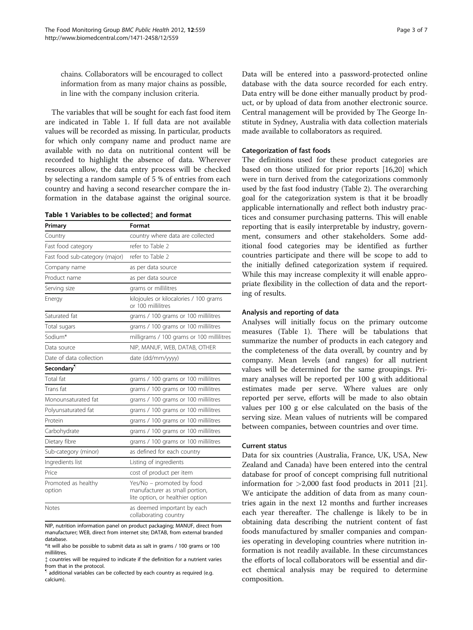chains. Collaborators will be encouraged to collect information from as many major chains as possible, in line with the company inclusion criteria.

The variables that will be sought for each fast food item are indicated in Table 1. If full data are not available values will be recorded as missing. In particular, products for which only company name and product name are available with no data on nutritional content will be recorded to highlight the absence of data. Wherever resources allow, the data entry process will be checked by selecting a random sample of 5 % of entries from each country and having a second researcher compare the information in the database against the original source.

## Table 1 Variables to be collected<sup>\*</sup> and format

| Primary                        | Format                                                                                          |
|--------------------------------|-------------------------------------------------------------------------------------------------|
| Country                        | country where data are collected                                                                |
| Fast food category             | refer to Table 2                                                                                |
| Fast food sub-category (major) | refer to Table 2                                                                                |
| Company name                   | as per data source                                                                              |
| Product name                   | as per data source                                                                              |
| Serving size                   | grams or millilitres                                                                            |
| Energy                         | kilojoules or kilocalories / 100 grams<br>or 100 millilitres                                    |
| Saturated fat                  | grams / 100 grams or 100 millilitres                                                            |
| Total sugars                   | grams / 100 grams or 100 millilitres                                                            |
| Sodium*                        | milligrams / 100 grams or 100 millilitres                                                       |
| Data source                    | NIP, MANUF, WEB, DATAB, OTHER                                                                   |
| Date of data collection        | date (dd/mm/yyyy)                                                                               |
| Secondary <sup>1</sup>         |                                                                                                 |
| Total fat                      | grams / 100 grams or 100 millilitres                                                            |
| Trans fat                      | grams / 100 grams or 100 millilitres                                                            |
| Monounsaturated fat            | grams / 100 grams or 100 millilitres                                                            |
| Polyunsaturated fat            | grams / 100 grams or 100 millilitres                                                            |
| Protein                        | grams / 100 grams or 100 millilitres                                                            |
| Carbohydrate                   | grams / 100 grams or 100 millilitres                                                            |
| Dietary fibre                  | grams / 100 grams or 100 millilitres                                                            |
| Sub-category (minor)           | as defined for each country                                                                     |
| Ingredients list               | Listing of ingredients                                                                          |
| Price                          | cost of product per item                                                                        |
| Promoted as healthy<br>option  | Yes/No - promoted by food<br>manufacturer as small portion,<br>lite option, or healthier option |
| Notes                          | as deemed important by each<br>collaborating country                                            |

NIP, nutrition information panel on product packaging; MANUF, direct from manufacturer; WEB, direct from internet site; DATAB, from external branded database.

\*it will also be possible to submit data as salt in grams / 100 grams or 100 millilitres.

{ countries will be required to indicate if the definition for a nutrient varies from that in the protocol.

 $\P$  additional variables can be collected by each country as required (e.g. calcium).

Data will be entered into a password-protected online database with the data source recorded for each entry. Data entry will be done either manually product by product, or by upload of data from another electronic source. Central management will be provided by The George Institute in Sydney, Australia with data collection materials made available to collaborators as required.

### Categorization of fast foods

The definitions used for these product categories are based on those utilized for prior reports [[16,20\]](#page-6-0) which were in turn derived from the categorizations commonly used by the fast food industry (Table [2\)](#page-3-0). The overarching goal for the categorization system is that it be broadly applicable internationally and reflect both industry practices and consumer purchasing patterns. This will enable reporting that is easily interpretable by industry, government, consumers and other stakeholders. Some additional food categories may be identified as further countries participate and there will be scope to add to the initially defined categorization system if required. While this may increase complexity it will enable appropriate flexibility in the collection of data and the reporting of results.

### Analysis and reporting of data

Analyses will initially focus on the primary outcome measures (Table 1). There will be tabulations that summarize the number of products in each category and the completeness of the data overall, by country and by company. Mean levels (and ranges) for all nutrient values will be determined for the same groupings. Primary analyses will be reported per 100 g with additional estimates made per serve. Where values are only reported per serve, efforts will be made to also obtain values per 100 g or else calculated on the basis of the serving size. Mean values of nutrients will be compared between companies, between countries and over time.

## Current status

Data for six countries (Australia, France, UK, USA, New Zealand and Canada) have been entered into the central database for proof of concept comprising full nutritional information for >2,000 fast food products in 2011 [\[21](#page-6-0)]. We anticipate the addition of data from as many countries again in the next 12 months and further increases each year thereafter. The challenge is likely to be in obtaining data describing the nutrient content of fast foods manufactured by smaller companies and companies operating in developing countries where nutrition information is not readily available. In these circumstances the efforts of local collaborators will be essential and direct chemical analysis may be required to determine composition.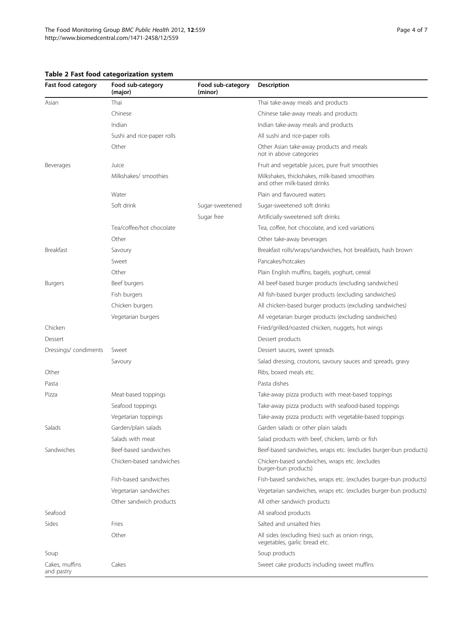## <span id="page-3-0"></span>Table 2 Fast food categorization system

| Fast food category           | Food sub-category<br>(major) | Food sub-category<br>(minor) | <b>Description</b>                                                                |
|------------------------------|------------------------------|------------------------------|-----------------------------------------------------------------------------------|
| Asian                        | Thai                         |                              | Thai take-away meals and products                                                 |
|                              | Chinese                      |                              | Chinese take-away meals and products                                              |
|                              | Indian                       |                              | Indian take-away meals and products                                               |
|                              | Sushi and rice-paper rolls   |                              | All sushi and rice-paper rolls                                                    |
|                              | Other                        |                              | Other Asian take-away products and meals<br>not in above categories               |
| Beverages                    | Juice                        |                              | Fruit and vegetable juices, pure fruit smoothies                                  |
|                              | Milkshakes/ smoothies        |                              | Milkshakes, thickshakes, milk-based smoothies<br>and other milk-based drinks      |
|                              | Water                        |                              | Plain and flavoured waters                                                        |
|                              | Soft drink                   | Sugar-sweetened              | Sugar-sweetened soft drinks                                                       |
|                              |                              | Sugar free                   | Artificially-sweetened soft drinks                                                |
|                              | Tea/coffee/hot chocolate     |                              | Tea, coffee, hot chocolate, and iced variations                                   |
|                              | Other                        |                              | Other take-away beverages                                                         |
| Breakfast                    | Savoury                      |                              | Breakfast rolls/wraps/sandwiches, hot breakfasts, hash brown                      |
|                              | Sweet                        |                              | Pancakes/hotcakes                                                                 |
|                              | Other                        |                              | Plain English muffins, bagels, yoghurt, cereal                                    |
| Burgers                      | Beef burgers                 |                              | All beef-based burger products (excluding sandwiches)                             |
|                              | Fish burgers                 |                              | All fish-based burger products (excluding sandwiches)                             |
|                              | Chicken burgers              |                              | All chicken-based burger products (excluding sandwiches)                          |
|                              | Vegetarian burgers           |                              | All vegetarian burger products (excluding sandwiches)                             |
| Chicken                      |                              |                              | Fried/grilled/roasted chicken, nuggets, hot wings                                 |
| Dessert                      |                              |                              | Dessert products                                                                  |
| Dressings/condiments         | Sweet                        |                              | Dessert sauces, sweet spreads                                                     |
|                              | Savoury                      |                              | Salad dressing, croutons, savoury sauces and spreads, gravy                       |
| Other                        |                              |                              | Ribs, boxed meals etc.                                                            |
| Pasta                        |                              |                              | Pasta dishes                                                                      |
| Pizza                        | Meat-based toppings          |                              | Take-away pizza products with meat-based toppings                                 |
|                              | Seafood toppings             |                              | Take-away pizza products with seafood-based toppings                              |
|                              | Vegetarian toppings          |                              | Take-away pizza products with vegetable-based toppings                            |
| Salads                       | Garden/plain salads          |                              | Garden salads or other plain salads                                               |
|                              | Salads with meat             |                              | Salad products with beef, chicken, lamb or fish                                   |
| Sandwiches                   | Beef-based sandwiches        |                              | Beef-based sandwiches, wraps etc. (excludes burger-bun products)                  |
|                              | Chicken-based sandwiches     |                              | Chicken-based sandwiches, wraps etc. (excludes<br>burger-bun products)            |
|                              | Fish-based sandwiches        |                              | Fish-based sandwiches, wraps etc. (excludes burger-bun products)                  |
|                              | Vegetarian sandwiches        |                              | Vegetarian sandwiches, wraps etc. (excludes burger-bun products)                  |
|                              | Other sandwich products      |                              | All other sandwich products                                                       |
| Seafood                      |                              |                              | All seafood products                                                              |
| Sides                        | Fries                        |                              | Salted and unsalted fries                                                         |
|                              | Other                        |                              | All sides (excluding fries) such as onion rings,<br>vegetables, garlic bread etc. |
| Soup                         |                              |                              | Soup products                                                                     |
| Cakes, muffins<br>and pastry | Cakes                        |                              | Sweet cake products including sweet muffins                                       |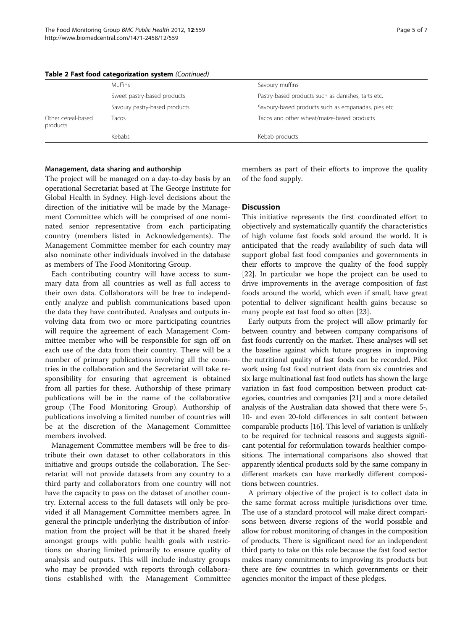|                                | <b>Muffins</b>                | Savoury muffins                                     |
|--------------------------------|-------------------------------|-----------------------------------------------------|
|                                | Sweet pastry-based products   | Pastry-based products such as danishes, tarts etc.  |
|                                | Savoury pastry-based products | Savoury-based products such as empanadas, pies etc. |
| Other cereal-based<br>products | Tacos                         | Tacos and other wheat/maize-based products          |
|                                | Kebabs                        | Kebab products                                      |
|                                |                               |                                                     |

## Table 2 Fast food categorization system (Continued)

### Management, data sharing and authorship

The project will be managed on a day-to-day basis by an operational Secretariat based at The George Institute for Global Health in Sydney. High-level decisions about the direction of the initiative will be made by the Management Committee which will be comprised of one nominated senior representative from each participating country (members listed in Acknowledgements). The Management Committee member for each country may also nominate other individuals involved in the database as members of The Food Monitoring Group.

Each contributing country will have access to summary data from all countries as well as full access to their own data. Collaborators will be free to independently analyze and publish communications based upon the data they have contributed. Analyses and outputs involving data from two or more participating countries will require the agreement of each Management Committee member who will be responsible for sign off on each use of the data from their country. There will be a number of primary publications involving all the countries in the collaboration and the Secretariat will take responsibility for ensuring that agreement is obtained from all parties for these. Authorship of these primary publications will be in the name of the collaborative group (The Food Monitoring Group). Authorship of publications involving a limited number of countries will be at the discretion of the Management Committee members involved.

Management Committee members will be free to distribute their own dataset to other collaborators in this initiative and groups outside the collaboration. The Secretariat will not provide datasets from any country to a third party and collaborators from one country will not have the capacity to pass on the dataset of another country. External access to the full datasets will only be provided if all Management Committee members agree. In general the principle underlying the distribution of information from the project will be that it be shared freely amongst groups with public health goals with restrictions on sharing limited primarily to ensure quality of analysis and outputs. This will include industry groups who may be provided with reports through collaborations established with the Management Committee members as part of their efforts to improve the quality of the food supply.

#### **Discussion**

This initiative represents the first coordinated effort to objectively and systematically quantify the characteristics of high volume fast foods sold around the world. It is anticipated that the ready availability of such data will support global fast food companies and governments in their efforts to improve the quality of the food supply [[22\]](#page-6-0). In particular we hope the project can be used to drive improvements in the average composition of fast foods around the world, which even if small, have great potential to deliver significant health gains because so many people eat fast food so often [\[23](#page-6-0)].

Early outputs from the project will allow primarily for between country and between company comparisons of fast foods currently on the market. These analyses will set the baseline against which future progress in improving the nutritional quality of fast foods can be recorded. Pilot work using fast food nutrient data from six countries and six large multinational fast food outlets has shown the large variation in fast food composition between product categories, countries and companies [\[21\]](#page-6-0) and a more detailed analysis of the Australian data showed that there were 5-, 10- and even 20-fold differences in salt content between comparable products [[16](#page-6-0)]. This level of variation is unlikely to be required for technical reasons and suggests significant potential for reformulation towards healthier compositions. The international comparisons also showed that apparently identical products sold by the same company in different markets can have markedly different compositions between countries.

A primary objective of the project is to collect data in the same format across multiple jurisdictions over time. The use of a standard protocol will make direct comparisons between diverse regions of the world possible and allow for robust monitoring of changes in the composition of products. There is significant need for an independent third party to take on this role because the fast food sector makes many commitments to improving its products but there are few countries in which governments or their agencies monitor the impact of these pledges.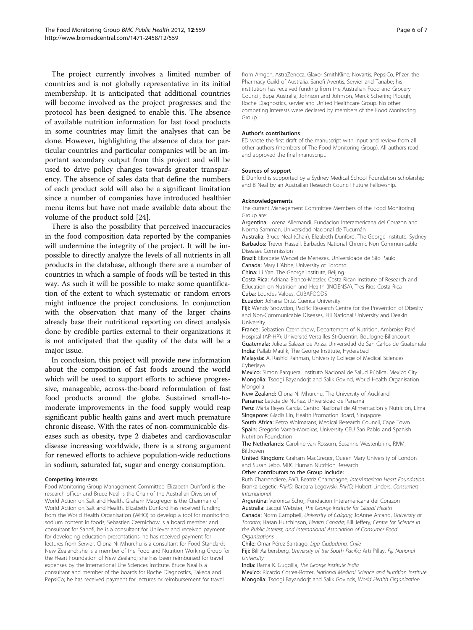The project currently involves a limited number of countries and is not globally representative in its initial membership. It is anticipated that additional countries will become involved as the project progresses and the protocol has been designed to enable this. The absence of available nutrition information for fast food products in some countries may limit the analyses that can be done. However, highlighting the absence of data for particular countries and particular companies will be an important secondary output from this project and will be used to drive policy changes towards greater transparency. The absence of sales data that define the numbers of each product sold will also be a significant limitation since a number of companies have introduced healthier menu items but have not made available data about the volume of the product sold [\[24](#page-6-0)].

There is also the possibility that perceived inaccuracies in the food composition data reported by the companies will undermine the integrity of the project. It will be impossible to directly analyze the levels of all nutrients in all products in the database, although there are a number of countries in which a sample of foods will be tested in this way. As such it will be possible to make some quantification of the extent to which systematic or random errors might influence the project conclusions. In conjunction with the observation that many of the larger chains already base their nutritional reporting on direct analysis done by credible parties external to their organizations it is not anticipated that the quality of the data will be a major issue.

In conclusion, this project will provide new information about the composition of fast foods around the world which will be used to support efforts to achieve progressive, manageable, across-the-board reformulation of fast food products around the globe. Sustained small-tomoderate improvements in the food supply would reap significant public health gains and avert much premature chronic disease. With the rates of non-communicable diseases such as obesity, type 2 diabetes and cardiovascular disease increasing worldwide, there is a strong argument for renewed efforts to achieve population-wide reductions in sodium, saturated fat, sugar and energy consumption.

#### Competing interests

Food Monitoring Group Management Committee: Elizabeth Dunford is the research officer and Bruce Neal is the Chair of the Australian Division of World Action on Salt and Health. Graham Macgregor is the Chairman of World Action on Salt and Health. Elizabeth Dunford has received funding from the World Health Organisation (WHO) to develop a tool for monitoring sodium content in foods; Sebastien Czernichow is a board member and consultant for Sanofi; he is a consultant for Unilever and received payment for developing education presentations; he has received payment for lectures from Servier. Cliona Ni Mhurchu is a consultant for Food Standards New Zealand; she is a member of the Food and Nutrition Working Group for the Heart Foundation of New Zealand; she has been reimbursed for travel expenses by the International Life Sciences Institute. Bruce Neal is a consultant and member of the boards for Roche Diagnostics, Takeda and PepsiCo; he has received payment for lectures or reimbursement for travel

from Amgen, AstraZeneca, Glaxo- SmithKline, Novartis, PepsiCo, Pfizer, the Pharmacy Guild of Australia, Sanofi Aventis, Servier and Tanabe; his institution has received funding from the Australian Food and Grocery Council, Bupa Australia, Johnson and Johnson, Merck Schering Plough, Roche Diagnostics, servier and United Healthcare Group. No other competing interests were declared by members of the Food Monitoring Group.

#### Author's contributions

ED wrote the first draft of the manuscript with input and review from all other authors (members of The Food Monitoring Group). All authors read and approved the final manuscript.

#### Sources of support

E Dunford is supported by a Sydney Medical School Foundation scholarship and B Neal by an Australian Research Council Future Fellowship.

#### Acknowledgements

The current Management Committee Members of the Food Monitoring Group are:

Argentina: Lorena Allemandi, Fundacion Interamericana del Corazon and Norma Samman, Universidad Nacional de Tucumán

Australia: Bruce Neal (Chair), Elizabeth Dunford, The George Institute, Sydney Barbados: Trevor Hassell, Barbados National Chronic Non Communicable Diseases Commission

Brazil: Elizabete Wenzel de Menezes, Universidade de São Paulo Canada: Mary L'Abbe, University of Toronto

China: Li Yan, The George Institute, Beijing

Costa Rica: Adriana Blanco-Metzler, Costa Rican Institute of Research and Education on Nutrition and Health (INCIENSA), Tres Ríos Costa Rica Cuba: Lourdes Valdes, CUBAFOODS

Ecuador: Johana Ortiz, Cuenca University

Fiji: Wendy Snowdon, Pacific Research Centre for the Prevention of Obesity and Non-Communicable Diseases, Fiji National University and Deakin **University** 

France: Sebastien Czernichow, Departement of Nutrition, Ambroise Paré Hospital (AP-HP); Université Versailles St-Quentin, Boulogne-Billancourt Guatemala: Julieta Salazar de Ariza, Universidad de San Carlos de Guatemala India: Pallab Maulik, The George Institute, Hyderabad

Malaysia: A. Rashid Rahman, University College of Medical Sciences Cyberjaya

Mexico: Simon Barquera, Instituto Nacional de Salud Pública, Mexico City Mongolia: Tsoogi Bayandorjt and Salik Govind, World Health Organisation Mongolia

New Zealand: Cliona Ni Mhurchu, The University of Auckland Panama: Leticia de Núñez, Universidad de Panamá

Peru: Maria Reyes Garcia, Centro Nacional de Alimentacion y Nutricion, Lima Singapore: Gladis Lin, Health Promotion Board, Singapore

South Africa: Petro Wolmarans, Medical Research Council, Cape Town Spain: Gregorio Varela-Moreiras, University CEU San Pablo and Spanish Nutrition Foundation

The Netherlands: Caroline van Rossum, Susanne Westenbrink, RIVM, Bilthoven

United Kingdom: Graham MacGregor, Queen Mary University of London and Susan Jebb, MRC Human Nutrition Research

### Other contributors to the Group include:

Ruth Charrondiere, FAO; Beatriz Champagne, InterAmerican Heart Foundation; Branka Legetic, PAHO; Barbara Legowski, PAHO; Hubert Linders, Consumers International

Argentina: Verónica Schoj, Fundacion Interamericana del Corazon Australia: Jacqui Webster, The George Institute for Global Health

Canada: Norm Campbell, University of Calgary; JoAnne Arcand, University of Toronto; Hasan Hutchinson, Health Canada; Bill Jeffery, Centre for Science in the Public Interest, and International Association of Consumer Food **Organizations** 

Chile: Omar Pérez Santiago, Liga Ciudadana, Chile

Fiji: Bill Aalbersberg, University of the South Pacific; Arti Pillay, Fiji National **University** 

India: Rama K. Guggilla, The George Institute India

Mexico: Ricardo Correa-Rotter, National Medical Science and Nutrition Institute Mongolia: Tsoogi Bayandorjt and Salik Govinds, World Health Organization